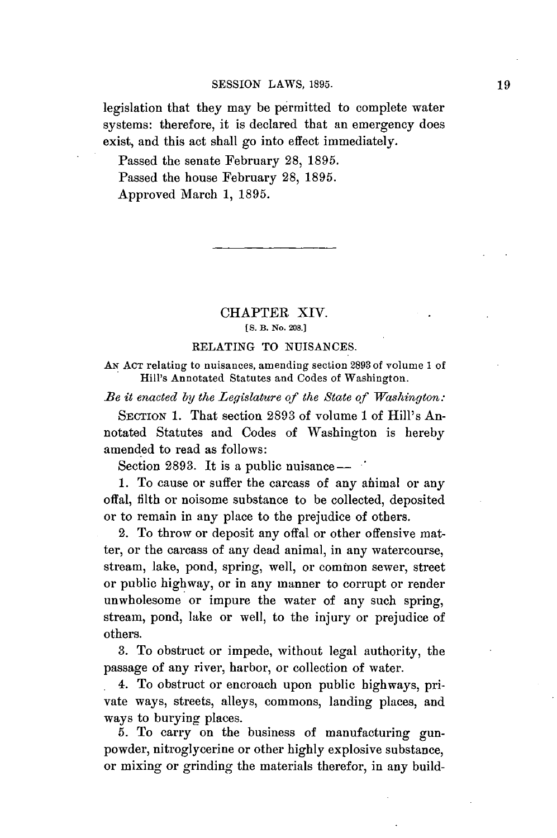legislation that they may be permitted to complete water systems: therefore, it is declared that an emergency does exist, and this act shall go into effect immediately.

Passed the senate February **28, 1895.** Passed the house February **28, 1895.** Approved March **1, 1895.**

## CHAPTER XIV. **[S.** B. No. **208.]**

## **RELATING** TO **NUISANCES.**

**AN ACT** relating to nuisances, amending section 2893 of volume **1** of Hill's Annotated Statutes and Codes of Washington.

*Be it enacted by the Legislature of the State of Washington.*

**SECTION 1.** That section **2893** of volume 1 of Hill's Annotated Statutes and Codes of Washington is hereby amended to read as follows:

Section 2893. It is a public nuisance —  $\cdot$ 

**1.** To cause or suffer the carcass of any ahimal or any offal, filth or noisome substance to be collected, deposited or to remain in any place to the prejudice of others.

2. To throw or deposit any offal or other offensive matter, or the carcass of any dead animal, in any watercourse, stream, lake, pond, spring, well, or common sewer, street or public highway, or in any manner to corrupt or render unwholesome or impure the water of any such spring, stream, pond, lake or well, to the injury or prejudice of others.

**3.** To obstruct or impede, without legal authority, the passage of any river, harbor, or collection of water.

4. To obstruct or encroach upon public highways, private ways, streets, alleys, commons, landing places, and ways to burying places.

**5.** To carry on the business of manufacturing gunpowder, nitroglycerine or other highly explosive substance, or mixing or grinding the materials therefor, in any build